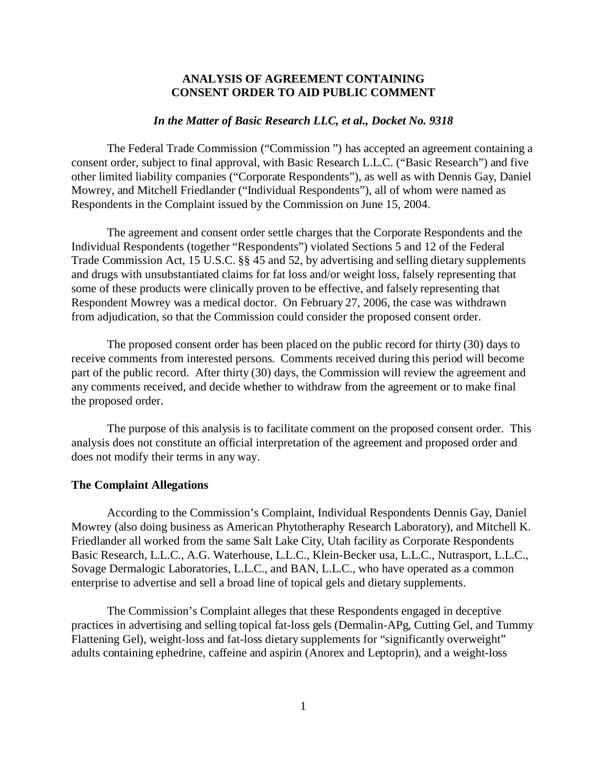## **ANALYSIS OF AGREEMENT CONTAINING CONSENT ORDER TO AID PUBLIC COMMENT**

## *In the Matter of Basic Research LLC, et al., Docket No. 9318*

The Federal Trade Commission ("Commission ") has accepted an agreement containing a consent order, subject to final approval, with Basic Research L.L.C. ("Basic Research") and five other limited liability companies ("Corporate Respondents"), as well as with Dennis Gay, Daniel Mowrey, and Mitchell Friedlander ("Individual Respondents"), all of whom were named as Respondents in the Complaint issued by the Commission on June 15, 2004.

The agreement and consent order settle charges that the Corporate Respondents and the Individual Respondents (together "Respondents") violated Sections 5 and 12 of the Federal Trade Commission Act, 15 U.S.C. §§ 45 and 52, by advertising and selling dietary supplements and drugs with unsubstantiated claims for fat loss and/or weight loss, falsely representing that some of these products were clinically proven to be effective, and falsely representing that Respondent Mowrey was a medical doctor. On February 27, 2006, the case was withdrawn from adjudication, so that the Commission could consider the proposed consent order.

The proposed consent order has been placed on the public record for thirty (30) days to receive comments from interested persons. Comments received during this period will become part of the public record. After thirty (30) days, the Commission will review the agreement and any comments received, and decide whether to withdraw from the agreement or to make final the proposed order.

The purpose of this analysis is to facilitate comment on the proposed consent order. This analysis does not constitute an official interpretation of the agreement and proposed order and does not modify their terms in any way.

## **The Complaint Allegations**

According to the Commission's Complaint, Individual Respondents Dennis Gay, Daniel Mowrey (also doing business as American Phytotheraphy Research Laboratory), and Mitchell K. Friedlander all worked from the same Salt Lake City, Utah facility as Corporate Respondents Basic Research, L.L.C., A.G. Waterhouse, L.L.C., Klein-Becker usa, L.L.C., Nutrasport, L.L.C., Sovage Dermalogic Laboratories, L.L.C., and BAN, L.L.C., who have operated as a common enterprise to advertise and sell a broad line of topical gels and dietary supplements.

The Commission's Complaint alleges that these Respondents engaged in deceptive practices in advertising and selling topical fat-loss gels (Dermalin-APg, Cutting Gel, and Tummy Flattening Gel), weight-loss and fat-loss dietary supplements for "significantly overweight" adults containing ephedrine, caffeine and aspirin (Anorex and Leptoprin), and a weight-loss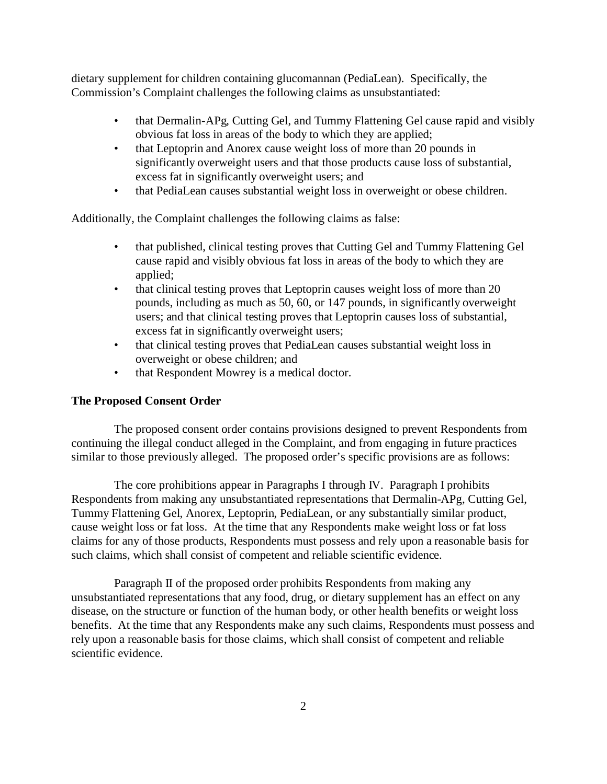dietary supplement for children containing glucomannan (PediaLean). Specifically, the Commission's Complaint challenges the following claims as unsubstantiated:

- that Dermalin-APg, Cutting Gel, and Tummy Flattening Gel cause rapid and visibly obvious fat loss in areas of the body to which they are applied;
- that Leptoprin and Anorex cause weight loss of more than 20 pounds in significantly overweight users and that those products cause loss of substantial, excess fat in significantly overweight users; and
- that PediaLean causes substantial weight loss in overweight or obese children.

Additionally, the Complaint challenges the following claims as false:

- that published, clinical testing proves that Cutting Gel and Tummy Flattening Gel cause rapid and visibly obvious fat loss in areas of the body to which they are applied;
- that clinical testing proves that Leptoprin causes weight loss of more than 20 pounds, including as much as 50, 60, or 147 pounds, in significantly overweight users; and that clinical testing proves that Leptoprin causes loss of substantial, excess fat in significantly overweight users;
- that clinical testing proves that PediaLean causes substantial weight loss in overweight or obese children; and
- that Respondent Mowrey is a medical doctor.

## **The Proposed Consent Order**

The proposed consent order contains provisions designed to prevent Respondents from continuing the illegal conduct alleged in the Complaint, and from engaging in future practices similar to those previously alleged. The proposed order's specific provisions are as follows:

The core prohibitions appear in Paragraphs I through IV. Paragraph I prohibits Respondents from making any unsubstantiated representations that Dermalin-APg, Cutting Gel, Tummy Flattening Gel, Anorex, Leptoprin, PediaLean, or any substantially similar product, cause weight loss or fat loss. At the time that any Respondents make weight loss or fat loss claims for any of those products, Respondents must possess and rely upon a reasonable basis for such claims, which shall consist of competent and reliable scientific evidence.

Paragraph II of the proposed order prohibits Respondents from making any unsubstantiated representations that any food, drug, or dietary supplement has an effect on any disease, on the structure or function of the human body, or other health benefits or weight loss benefits. At the time that any Respondents make any such claims, Respondents must possess and rely upon a reasonable basis for those claims, which shall consist of competent and reliable scientific evidence.